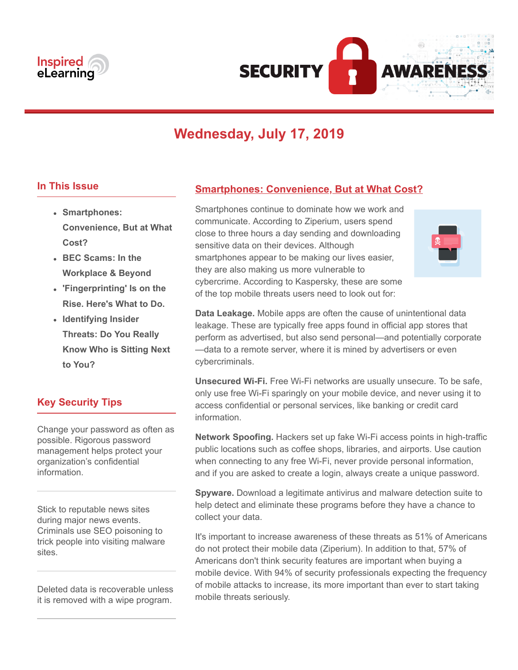



# **Wednesday, July 17, 2019**

#### **In This Issue**

- **Smartphones: Convenience, But at What Cost?**
- **BEC Scams: In the Workplace & Beyond**
- **'Fingerprinting' Is on the Rise. Here's What to Do.**
- **Identifying Insider Threats: Do You Really Know Who is Sitting Next to You?**

## **Key Security Tips**

Change your password as often as possible. Rigorous password management helps protect your organization's confidential information.

Stick to reputable news sites during major news events. Criminals use SEO poisoning to trick people into visiting malware sites.

Deleted data is recoverable unless it is removed with a wipe program.

## **Smartphones: Convenience, But at What Cost?**

Smartphones continue to dominate how we work and communicate. According to Ziperium, users spend close to three hours a day sending and downloading sensitive data on their devices. Although smartphones appear to be making our lives easier, they are also making us more vulnerable to cybercrime. According to Kaspersky, these are some of the top mobile threats users need to look out for:



**Data Leakage.** Mobile apps are often the cause of unintentional data leakage. These are typically free apps found in official app stores that perform as advertised, but also send personal—and potentially corporate —data to a remote server, where it is mined by advertisers or even cybercriminals.

**Unsecured Wi-Fi.** Free Wi-Fi networks are usually unsecure. To be safe, only use free Wi-Fi sparingly on your mobile device, and never using it to access confidential or personal services, like banking or credit card information.

**Network Spoofing.** Hackers set up fake Wi-Fi access points in high-traffic public locations such as coffee shops, libraries, and airports. Use caution when connecting to any free Wi-Fi, never provide personal information, and if you are asked to create a login, always create a unique password.

**Spyware.** Download a legitimate antivirus and malware detection suite to help detect and eliminate these programs before they have a chance to collect your data.

It's important to increase awareness of these threats as 51% of Americans do not protect their mobile data (Ziperium). In addition to that, 57% of Americans don't think security features are important when buying a mobile device. With 94% of security professionals expecting the frequency of mobile attacks to increase, its more important than ever to start taking mobile threats seriously.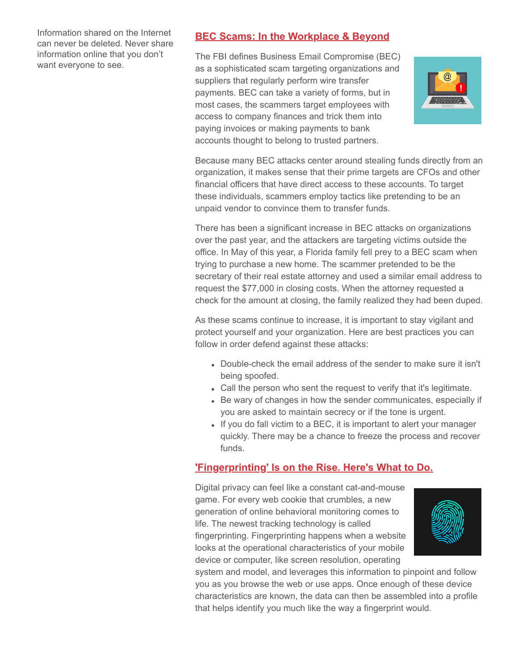Information shared on the Internet can never be deleted. Never share information online that you don't want everyone to see.

## **BEC Scams: In the Workplace & Beyond**

The FBI defines Business Email Compromise (BEC) as a sophisticated scam targeting organizations and suppliers that regularly perform wire transfer payments. BEC can take a variety of forms, but in most cases, the scammers target employees with access to company finances and trick them into paying invoices or making payments to bank accounts thought to belong to trusted partners.



Because many BEC attacks center around stealing funds directly from an organization, it makes sense that their prime targets are CFOs and other financial officers that have direct access to these accounts. To target these individuals, scammers employ tactics like pretending to be an unpaid vendor to convince them to transfer funds.

There has been a significant increase in BEC attacks on organizations over the past year, and the attackers are targeting victims outside the office. In May of this year, a Florida family fell prey to a BEC scam when trying to purchase a new home. The scammer pretended to be the secretary of their real estate attorney and used a similar email address to request the \$77,000 in closing costs. When the attorney requested a check for the amount at closing, the family realized they had been duped.

As these scams continue to increase, it is important to stay vigilant and protect yourself and your organization. Here are best practices you can follow in order defend against these attacks:

- Double-check the email address of the sender to make sure it isn't being spoofed.
- Call the person who sent the request to verify that it's legitimate.
- Be wary of changes in how the sender communicates, especially if you are asked to maintain secrecy or if the tone is urgent.
- If you do fall victim to a BEC, it is important to alert your manager quickly. There may be a chance to freeze the process and recover funds.

## **'Fingerprinting' Is on the Rise. Here's What to Do.**

Digital privacy can feel like a constant cat-and-mouse game. For every web cookie that crumbles, a new generation of online behavioral monitoring comes to life. The newest tracking technology is called fingerprinting. Fingerprinting happens when a website looks at the operational characteristics of your mobile device or computer, like screen resolution, operating



system and model, and leverages this information to pinpoint and follow you as you browse the web or use apps. Once enough of these device characteristics are known, the data can then be assembled into a profile that helps identify you much like the way a fingerprint would.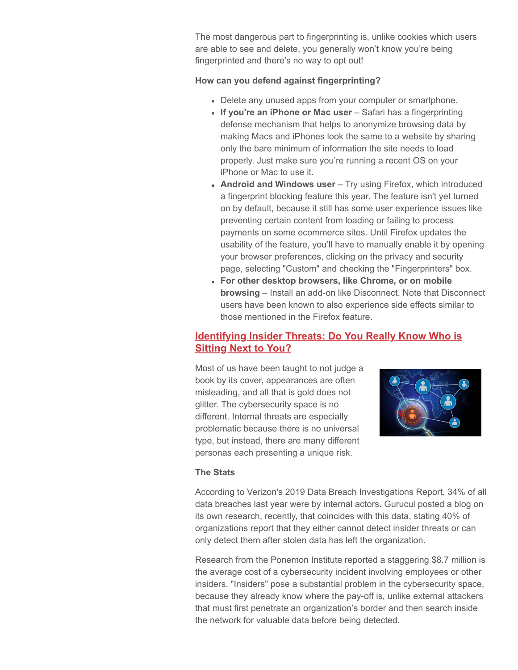The most dangerous part to fingerprinting is, unlike cookies which users are able to see and delete, you generally won't know you're being fingerprinted and there's no way to opt out!

#### **How can you defend against fingerprinting?**

- Delete any unused apps from your computer or smartphone.
- If you're an iPhone or Mac user Safari has a fingerprinting defense mechanism that helps to anonymize browsing data by making Macs and iPhones look the same to a website by sharing only the bare minimum of information the site needs to load properly. Just make sure you're running a recent OS on your iPhone or Mac to use it.
- **Android and Windows user** Try using Firefox, which introduced a fingerprint blocking feature this year. The feature isn't yet turned on by default, because it still has some user experience issues like preventing certain content from loading or failing to process payments on some ecommerce sites. Until Firefox updates the usability of the feature, you'll have to manually enable it by opening your browser preferences, clicking on the privacy and security page, selecting "Custom" and checking the "Fingerprinters" box.
- **For other desktop browsers, like Chrome, or on mobile browsing** – Install an add-on like Disconnect. Note that Disconnect users have been known to also experience side effects similar to those mentioned in the Firefox feature.

### **Identifying Insider Threats: Do You Really Know Who is Sitting Next to You?**

Most of us have been taught to not judge a book by its cover, appearances are often misleading, and all that is gold does not glitter. The cybersecurity space is no different. Internal threats are especially problematic because there is no universal type, but instead, there are many different personas each presenting a unique risk.



#### **The Stats**

According to Verizon's 2019 Data Breach Investigations Report, 34% of all data breaches last year were by internal actors. Gurucul posted a blog on its own research, recently, that coincides with this data, stating 40% of organizations report that they either cannot detect insider threats or can only detect them after stolen data has left the organization.

Research from the Ponemon Institute reported a staggering \$8.7 million is the average cost of a cybersecurity incident involving employees or other insiders. "Insiders" pose a substantial problem in the cybersecurity space, because they already know where the pay-off is, unlike external attackers that must first penetrate an organization's border and then search inside the network for valuable data before being detected.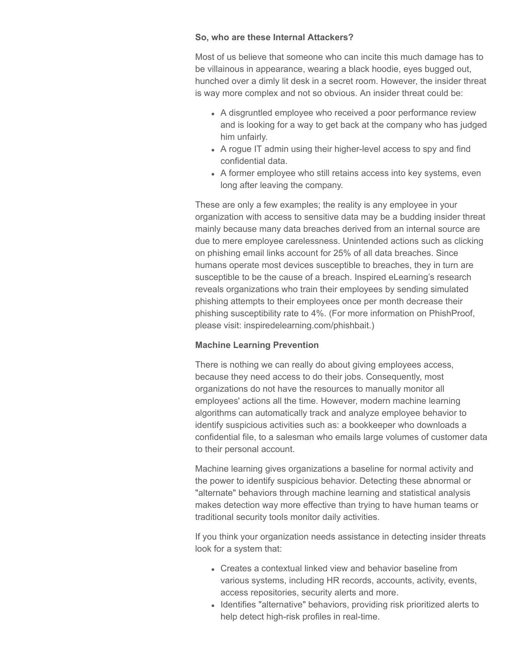#### **So, who are these Internal Attackers?**

Most of us believe that someone who can incite this much damage has to be villainous in appearance, wearing a black hoodie, eyes bugged out, hunched over a dimly lit desk in a secret room. However, the insider threat is way more complex and not so obvious. An insider threat could be:

- A disgruntled employee who received a poor performance review and is looking for a way to get back at the company who has judged him unfairly.
- A rogue IT admin using their higher-level access to spy and find confidential data.
- A former employee who still retains access into key systems, even long after leaving the company.

These are only a few examples; the reality is any employee in your organization with access to sensitive data may be a budding insider threat mainly because many data breaches derived from an internal source are due to mere employee carelessness. Unintended actions such as clicking on phishing email links account for 25% of all data breaches. Since humans operate most devices susceptible to breaches, they in turn are susceptible to be the cause of a breach. Inspired eLearning's research reveals organizations who train their employees by sending simulated phishing attempts to their employees once per month decrease their phishing susceptibility rate to 4%. (For more information on PhishProof, please visit: inspiredelearning.com/phishbait.)

#### **Machine Learning Prevention**

There is nothing we can really do about giving employees access, because they need access to do their jobs. Consequently, most organizations do not have the resources to manually monitor all employees' actions all the time. However, modern machine learning algorithms can automatically track and analyze employee behavior to identify suspicious activities such as: a bookkeeper who downloads a confidential file, to a salesman who emails large volumes of customer data to their personal account.

Machine learning gives organizations a baseline for normal activity and the power to identify suspicious behavior. Detecting these abnormal or "alternate" behaviors through machine learning and statistical analysis makes detection way more effective than trying to have human teams or traditional security tools monitor daily activities.

If you think your organization needs assistance in detecting insider threats look for a system that:

- Creates a contextual linked view and behavior baseline from various systems, including HR records, accounts, activity, events, access repositories, security alerts and more.
- Identifies "alternative" behaviors, providing risk prioritized alerts to help detect high-risk profiles in real-time.